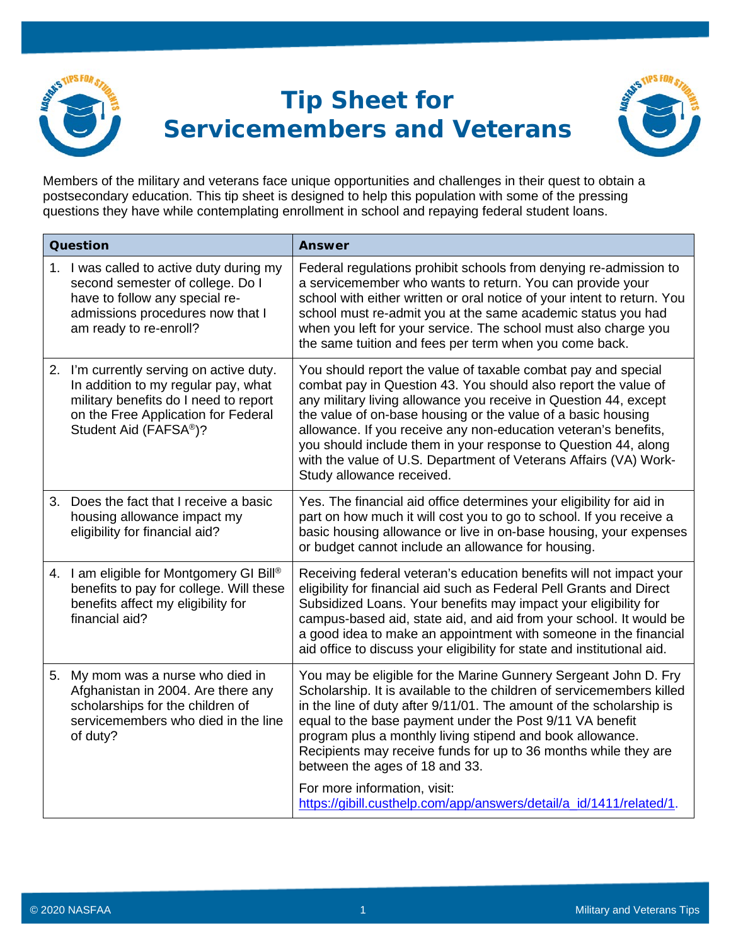

## **Tip Sheet for Servicemembers and Veterans**



Members of the military and veterans face unique opportunities and challenges in their quest to obtain a postsecondary education. This tip sheet is designed to help this population with some of the pressing questions they have while contemplating enrollment in school and repaying federal student loans.

| Question |                                                                                                                                                                                                       | <b>Answer</b>                                                                                                                                                                                                                                                                                                                                                                                                                                                                                             |
|----------|-------------------------------------------------------------------------------------------------------------------------------------------------------------------------------------------------------|-----------------------------------------------------------------------------------------------------------------------------------------------------------------------------------------------------------------------------------------------------------------------------------------------------------------------------------------------------------------------------------------------------------------------------------------------------------------------------------------------------------|
| 1.       | I was called to active duty during my<br>second semester of college. Do I<br>have to follow any special re-<br>admissions procedures now that I<br>am ready to re-enroll?                             | Federal regulations prohibit schools from denying re-admission to<br>a servicemember who wants to return. You can provide your<br>school with either written or oral notice of your intent to return. You<br>school must re-admit you at the same academic status you had<br>when you left for your service. The school must also charge you<br>the same tuition and fees per term when you come back.                                                                                                    |
|          | 2. I'm currently serving on active duty.<br>In addition to my regular pay, what<br>military benefits do I need to report<br>on the Free Application for Federal<br>Student Aid (FAFSA <sup>®</sup> )? | You should report the value of taxable combat pay and special<br>combat pay in Question 43. You should also report the value of<br>any military living allowance you receive in Question 44, except<br>the value of on-base housing or the value of a basic housing<br>allowance. If you receive any non-education veteran's benefits,<br>you should include them in your response to Question 44, along<br>with the value of U.S. Department of Veterans Affairs (VA) Work-<br>Study allowance received. |
| 3.       | Does the fact that I receive a basic<br>housing allowance impact my<br>eligibility for financial aid?                                                                                                 | Yes. The financial aid office determines your eligibility for aid in<br>part on how much it will cost you to go to school. If you receive a<br>basic housing allowance or live in on-base housing, your expenses<br>or budget cannot include an allowance for housing.                                                                                                                                                                                                                                    |
|          | 4. I am eligible for Montgomery GI Bill®<br>benefits to pay for college. Will these<br>benefits affect my eligibility for<br>financial aid?                                                           | Receiving federal veteran's education benefits will not impact your<br>eligibility for financial aid such as Federal Pell Grants and Direct<br>Subsidized Loans. Your benefits may impact your eligibility for<br>campus-based aid, state aid, and aid from your school. It would be<br>a good idea to make an appointment with someone in the financial<br>aid office to discuss your eligibility for state and institutional aid.                                                                       |
| 5.       | My mom was a nurse who died in<br>Afghanistan in 2004. Are there any<br>scholarships for the children of<br>servicemembers who died in the line<br>of duty?                                           | You may be eligible for the Marine Gunnery Sergeant John D. Fry<br>Scholarship. It is available to the children of servicemembers killed<br>in the line of duty after 9/11/01. The amount of the scholarship is<br>equal to the base payment under the Post 9/11 VA benefit<br>program plus a monthly living stipend and book allowance.<br>Recipients may receive funds for up to 36 months while they are<br>between the ages of 18 and 33.                                                             |
|          |                                                                                                                                                                                                       | For more information, visit:<br>https://gibill.custhelp.com/app/answers/detail/a_id/1411/related/1.                                                                                                                                                                                                                                                                                                                                                                                                       |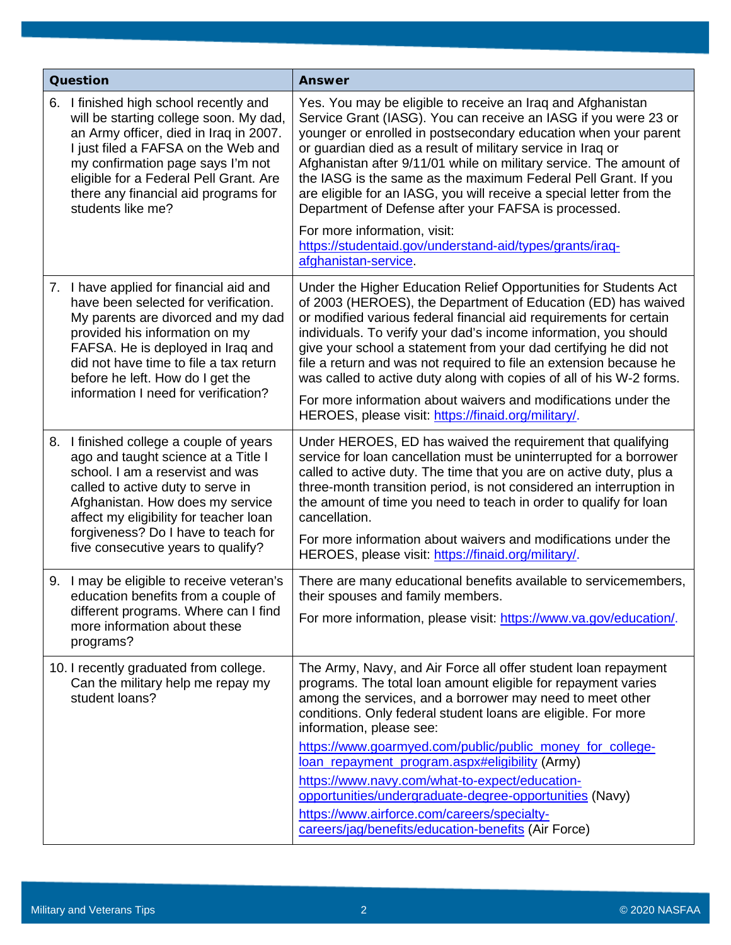| Question |                                                                                                                                                                                                                                                                                                                    | <b>Answer</b>                                                                                                                                                                                                                                                                                                                                                                                                                                                                                                                                                   |
|----------|--------------------------------------------------------------------------------------------------------------------------------------------------------------------------------------------------------------------------------------------------------------------------------------------------------------------|-----------------------------------------------------------------------------------------------------------------------------------------------------------------------------------------------------------------------------------------------------------------------------------------------------------------------------------------------------------------------------------------------------------------------------------------------------------------------------------------------------------------------------------------------------------------|
|          | 6. I finished high school recently and<br>will be starting college soon. My dad,<br>an Army officer, died in Iraq in 2007.<br>I just filed a FAFSA on the Web and<br>my confirmation page says I'm not<br>eligible for a Federal Pell Grant. Are<br>there any financial aid programs for<br>students like me?      | Yes. You may be eligible to receive an Iraq and Afghanistan<br>Service Grant (IASG). You can receive an IASG if you were 23 or<br>younger or enrolled in postsecondary education when your parent<br>or guardian died as a result of military service in Iraq or<br>Afghanistan after 9/11/01 while on military service. The amount of<br>the IASG is the same as the maximum Federal Pell Grant. If you<br>are eligible for an IASG, you will receive a special letter from the<br>Department of Defense after your FAFSA is processed.                        |
|          |                                                                                                                                                                                                                                                                                                                    | For more information, visit:<br>https://studentaid.gov/understand-aid/types/grants/irag-<br>afghanistan-service.                                                                                                                                                                                                                                                                                                                                                                                                                                                |
|          | 7. I have applied for financial aid and<br>have been selected for verification.<br>My parents are divorced and my dad<br>provided his information on my<br>FAFSA. He is deployed in Iraq and<br>did not have time to file a tax return<br>before he left. How do I get the<br>information I need for verification? | Under the Higher Education Relief Opportunities for Students Act<br>of 2003 (HEROES), the Department of Education (ED) has waived<br>or modified various federal financial aid requirements for certain<br>individuals. To verify your dad's income information, you should<br>give your school a statement from your dad certifying he did not<br>file a return and was not required to file an extension because he<br>was called to active duty along with copies of all of his W-2 forms.<br>For more information about waivers and modifications under the |
|          |                                                                                                                                                                                                                                                                                                                    | HEROES, please visit: https://finaid.org/military/.                                                                                                                                                                                                                                                                                                                                                                                                                                                                                                             |
|          | 8. I finished college a couple of years<br>ago and taught science at a Title I<br>school. I am a reservist and was<br>called to active duty to serve in<br>Afghanistan. How does my service<br>affect my eligibility for teacher loan<br>forgiveness? Do I have to teach for<br>five consecutive years to qualify? | Under HEROES, ED has waived the requirement that qualifying<br>service for loan cancellation must be uninterrupted for a borrower<br>called to active duty. The time that you are on active duty, plus a<br>three-month transition period, is not considered an interruption in<br>the amount of time you need to teach in order to qualify for loan<br>cancellation.<br>For more information about waivers and modifications under the<br>HEROES, please visit: https://finaid.org/military/.                                                                  |
|          | 9. I may be eligible to receive veteran's<br>education benefits from a couple of<br>different programs. Where can I find<br>more information about these<br>programs?                                                                                                                                              | There are many educational benefits available to servicemembers,<br>their spouses and family members.<br>For more information, please visit: https://www.va.gov/education/.                                                                                                                                                                                                                                                                                                                                                                                     |
|          |                                                                                                                                                                                                                                                                                                                    |                                                                                                                                                                                                                                                                                                                                                                                                                                                                                                                                                                 |
|          | 10. I recently graduated from college.<br>Can the military help me repay my<br>student loans?                                                                                                                                                                                                                      | The Army, Navy, and Air Force all offer student loan repayment<br>programs. The total loan amount eligible for repayment varies<br>among the services, and a borrower may need to meet other<br>conditions. Only federal student loans are eligible. For more<br>information, please see:                                                                                                                                                                                                                                                                       |
|          |                                                                                                                                                                                                                                                                                                                    | https://www.goarmyed.com/public/public_money_for_college-<br>loan_repayment_program.aspx#eligibility (Army)                                                                                                                                                                                                                                                                                                                                                                                                                                                     |
|          |                                                                                                                                                                                                                                                                                                                    | https://www.navy.com/what-to-expect/education-                                                                                                                                                                                                                                                                                                                                                                                                                                                                                                                  |
|          |                                                                                                                                                                                                                                                                                                                    | opportunities/undergraduate-degree-opportunities (Navy)                                                                                                                                                                                                                                                                                                                                                                                                                                                                                                         |
|          |                                                                                                                                                                                                                                                                                                                    | https://www.airforce.com/careers/specialty-<br>careers/jag/benefits/education-benefits (Air Force)                                                                                                                                                                                                                                                                                                                                                                                                                                                              |